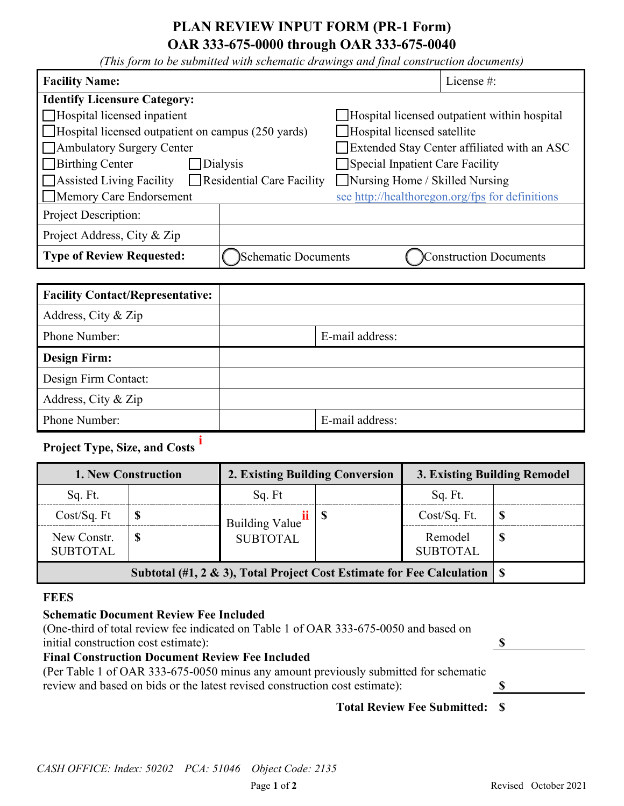## **PLAN REVIEW INPUT FORM (PR-1 Form) OAR 333-675-0000 through OAR 333-675-0040**

*(This form to be submitted with schematic drawings and final construction documents)*

| <b>Facility Name:</b>                                               | License $#$ :                                   |  |  |  |  |
|---------------------------------------------------------------------|-------------------------------------------------|--|--|--|--|
| <b>Identify Licensure Category:</b>                                 |                                                 |  |  |  |  |
| Hospital licensed inpatient                                         | Hospital licensed outpatient within hospital    |  |  |  |  |
| $\Box$ Hospital licensed outpatient on campus (250 yards)           | Hospital licensed satellite                     |  |  |  |  |
| Ambulatory Surgery Center                                           | Extended Stay Center affiliated with an ASC     |  |  |  |  |
| $\Box$ Birthing Center<br><b>Dialysis</b>                           | Special Inpatient Care Facility                 |  |  |  |  |
| $\Box$ Residential Care Facility<br>$\Box$ Assisted Living Facility | Nursing Home / Skilled Nursing                  |  |  |  |  |
| Memory Care Endorsement                                             | see http://healthoregon.org/fps for definitions |  |  |  |  |
| Project Description:                                                |                                                 |  |  |  |  |
| Project Address, City & Zip                                         |                                                 |  |  |  |  |
| <b>Type of Review Requested:</b><br>Schematic Documents             | <b>Construction Documents</b>                   |  |  |  |  |

| <b>Facility Contact/Representative:</b> |                 |
|-----------------------------------------|-----------------|
| Address, City & Zip                     |                 |
| Phone Number:                           | E-mail address: |
| <b>Design Firm:</b>                     |                 |
| Design Firm Contact:                    |                 |
| Address, City & Zip                     |                 |
| Phone Number:                           | E-mail address: |

# **Project Type, Size, and Costs [i](#page-1-0)**

| <b>1. New Construction</b>                                                 |  | 2. Existing Building Conversion                  |  | 3. Existing Building Remodel |  |
|----------------------------------------------------------------------------|--|--------------------------------------------------|--|------------------------------|--|
| Sq. Ft.                                                                    |  | Sq. Ft                                           |  | Sq. Ft.                      |  |
| Cost/Sq. Ft                                                                |  | Building Value $\frac{ii}{s}$<br><b>SUBTOTAL</b> |  | Cost/Sq. Ft.                 |  |
| New Constr.<br><b>SUBTOTAL</b>                                             |  |                                                  |  | Remodel<br><b>SUBTOTAL</b>   |  |
| Subtotal (#1, 2 & 3), Total Project Cost Estimate for Fee Calculation   \$ |  |                                                  |  |                              |  |

#### **FEES**

### **Schematic Document Review Fee Included**

(One-third of total review fee indicated on Table 1 of OAR 333-675-0050 and based on initial construction cost estimate): **\$** 

### **Final Construction Document Review Fee Included**

(Per Table 1 of OAR 333-675-0050 minus any amount previously submitted for schematic review and based on bids or the latest revised construction cost estimate): **\$**

## **Total Review Fee Submitted: \$**